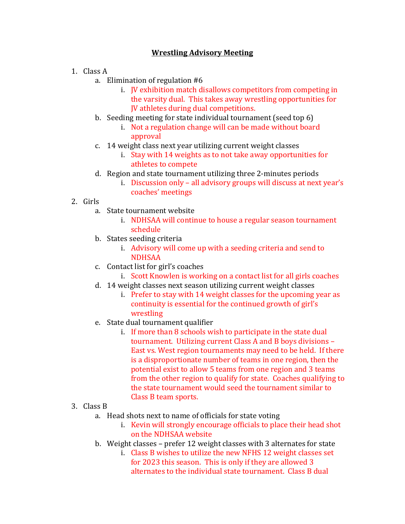## **Wrestling Advisory Meeting**

- 1. Class A
	- a. Elimination of regulation  $#6$ 
		- i. JV exhibition match disallows competitors from competing in the varsity dual. This takes away wrestling opportunities for **JV** athletes during dual competitions.
	- b. Seeding meeting for state individual tournament (seed top  $6$ )
		- i. Not a regulation change will can be made without board approval
	- c. 14 weight class next year utilizing current weight classes
		- i. Stay with 14 weights as to not take away opportunities for athletes to compete
	- d. Region and state tournament utilizing three 2-minutes periods
		- i. Discussion only all advisory groups will discuss at next year's coaches' meetings
- 2. Girls
	- a. State tournament website
		- i. NDHSAA will continue to house a regular season tournament schedule
	- b. States seeding criteria
		- i. Advisory will come up with a seeding criteria and send to NDHSAA
	- c. Contact list for girl's coaches
		- i. Scott Knowlen is working on a contact list for all girls coaches
	- d. 14 weight classes next season utilizing current weight classes
		- i. Prefer to stay with 14 weight classes for the upcoming year as continuity is essential for the continued growth of girl's wrestling
	- e. State dual tournament qualifier
		- i. If more than 8 schools wish to participate in the state dual tournament. Utilizing current Class A and B boys divisions -East vs. West region tournaments may need to be held. If there is a disproportionate number of teams in one region, then the potential exist to allow 5 teams from one region and 3 teams from the other region to qualify for state. Coaches qualifying to the state tournament would seed the tournament similar to Class B team sports.

## 3. Class B

- a. Head shots next to name of officials for state voting
	- i. Kevin will strongly encourage officials to place their head shot on the NDHSAA website
- b. Weight classes prefer 12 weight classes with 3 alternates for state
	- i. Class B wishes to utilize the new NFHS 12 weight classes set for 2023 this season. This is only if they are allowed 3 alternates to the individual state tournament. Class B dual